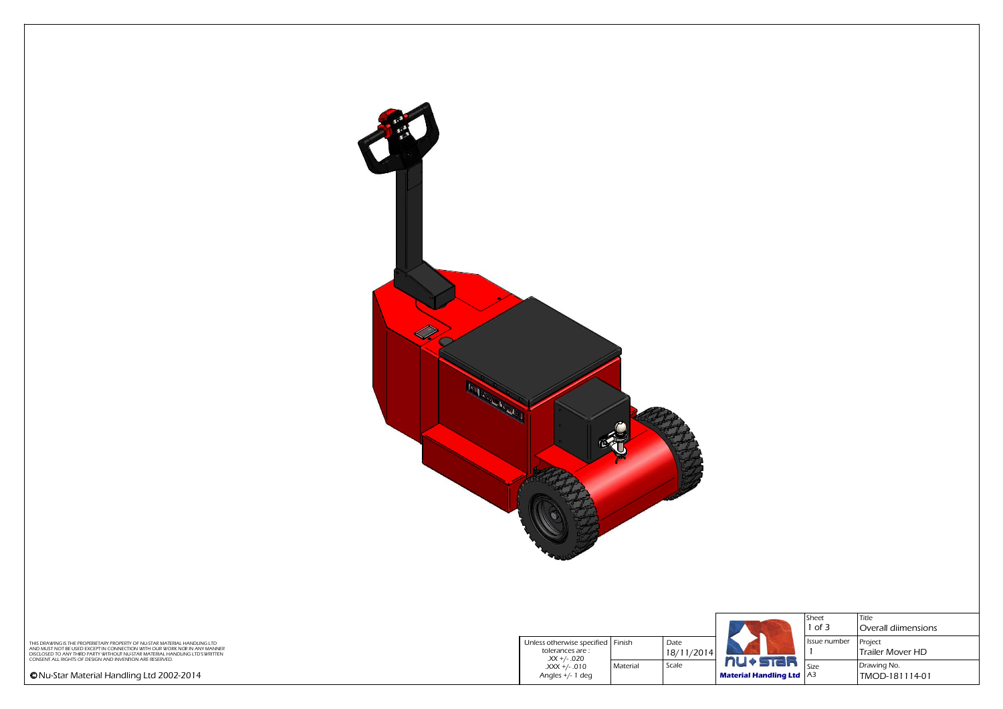

|                                               |                                                                       |          |                    |                                                   | Sheet<br>$1$ of 3 | <b>Title</b><br>Overall diimensions |
|-----------------------------------------------|-----------------------------------------------------------------------|----------|--------------------|---------------------------------------------------|-------------------|-------------------------------------|
| LING LTD<br><b>ANY MANNER</b><br>'D'S WRITTEN | Unless otherwise specified Finish<br>tolerances are :<br>.XX +/- .020 |          | Date<br>18/11/2014 |                                                   | Issue number      | Project<br>Trailer Mover HD         |
|                                               | .XXX +/- .010<br>Angles $+/$ - 1 deg                                  | Material | Scale              | <b>nu+star</b><br><b>Material Handling Ltd</b> A3 |                   | Drawing No.<br>TMOD-181114-01       |
|                                               |                                                                       |          |                    |                                                   |                   |                                     |

THIS DRAWING IS THE PROPERIETARY PROPERTY OF NU-STAR MATERIAL HANDLING LTD<br>AND MUST NOT BE USED EXCEPT IN CONNECTION WITH OUR WORK NOR IN ANY MANNER<br>DISCLOSED TO ANY THRD PARTY WITHOUT NU-STAR MATERIAL HANDLING LTD'SWRITTE

*Nu-Star Material Handling Ltd 2002-2014*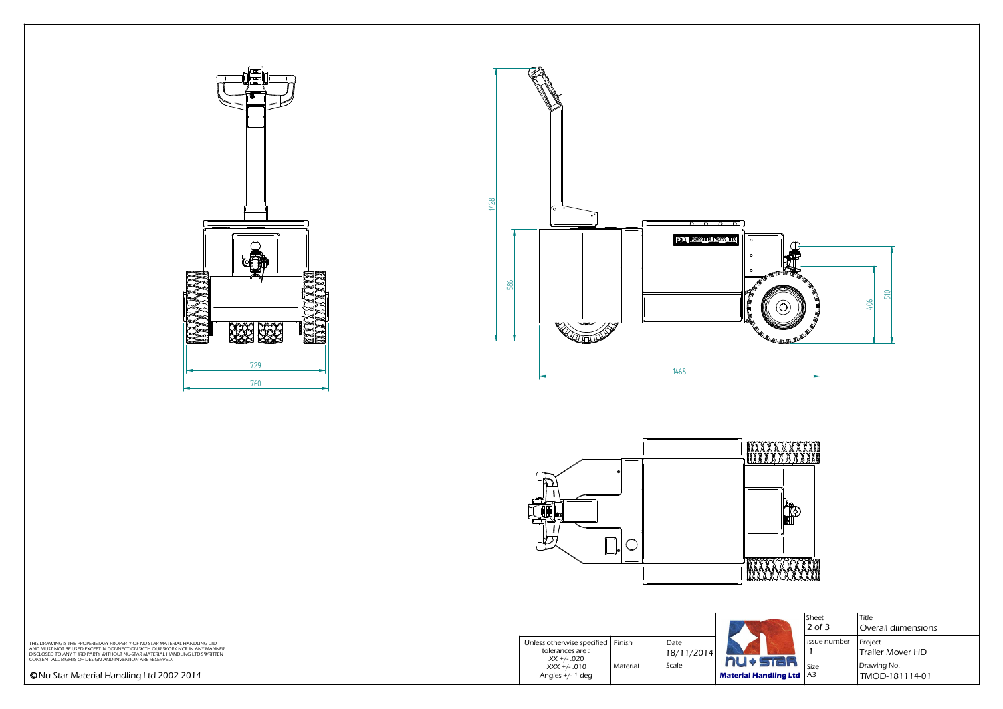*Title*

|                                                   |                                                                                                                                                             |  |                                              | וכו<br>$ 2$ of 3            | ,,,,,<br>Overall diimensio     |
|---------------------------------------------------|-------------------------------------------------------------------------------------------------------------------------------------------------------------|--|----------------------------------------------|-----------------------------|--------------------------------|
| LING LTD<br><b>NY MANNER</b><br><b>D'SWRITTEN</b> | Unless otherwise specified   Finish<br>Date<br>tolerances are :<br>18/11/2014<br>$XX +/- .020$<br>Material<br>Scale<br>.XXX +/- .010<br>Angles $+/$ - 1 deg |  | I Issue number                               | Project<br>Trailer Mover HD |                                |
|                                                   |                                                                                                                                                             |  | nu+star<br><b>Material Handling Ltd</b>   A3 | $\log$ Size                 | Drawing No.<br> TMOD-181114-01 |

THIS DRAWING IS THE PROPERIETARY PROPERTY OF NU-STAR MATERIAL HANDLING LTD<br>AND MUST NOT BE USED EXCEPT IN CONNECTION WITH OUR WORK NOR IN ANY MANNER<br>DISCLOSED TO ANY THRD PARTY WITHOUT NU-STAR MATERIAL HANDLING LTD'SWRITTE

| Sheet        | Title                              |
|--------------|------------------------------------|
| $2$ of $3$   | Overall diimensions                |
| Issue number | <b>Project</b><br>Trailer Mover HD |
| Size         | Drawing No.                        |
| A3           | TMOD-181114-01                     |



*Nu-Star Material Handling Ltd 2002-2014*